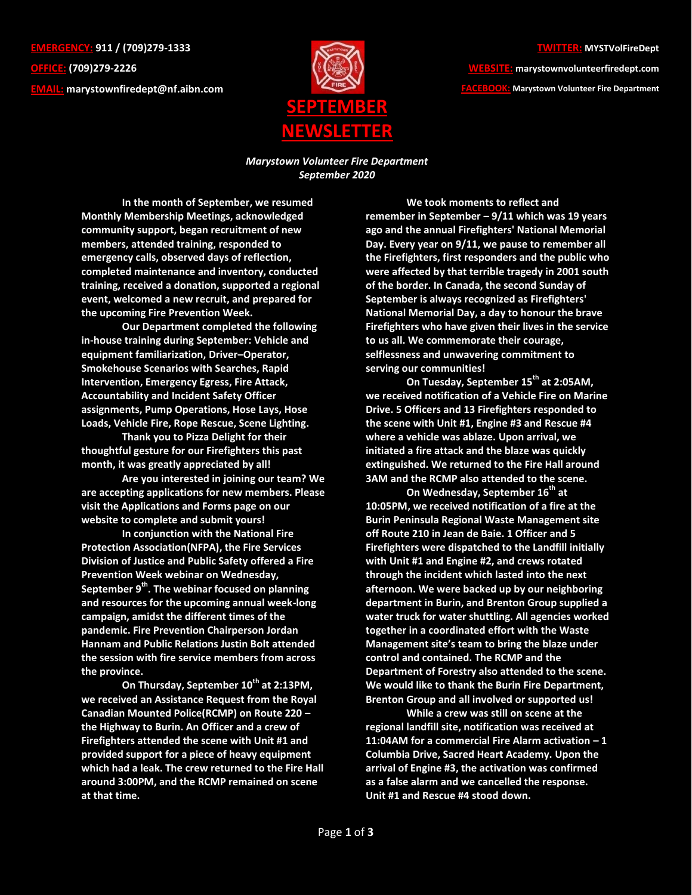**EMERGENCY: 911 / (709)279-1333 OFFICE: (709)279-2226 EMAIL: [marystownfiredept@nf.aibn.com](mailto:marystownfiredept@nf.aibn.com)**



## **TWITTER: MYSTVolFireDept**

**WEBSITE: marystownvolunteerfiredept.com FACEBOOK: Marystown Volunteer Fire Department**

*Marystown Volunteer Fire Department September 2020*

**In the month of September, we resumed Monthly Membership Meetings, acknowledged community support, began recruitment of new members, attended training, responded to emergency calls, observed days of reflection, completed maintenance and inventory, conducted training, received a donation, supported a regional event, welcomed a new recruit, and prepared for the upcoming Fire Prevention Week.**

**Our Department completed the following in-house training during September: Vehicle and equipment familiarization, Driver–Operator, Smokehouse Scenarios with Searches, Rapid Intervention, Emergency Egress, Fire Attack, Accountability and Incident Safety Officer assignments, Pump Operations, Hose Lays, Hose Loads, Vehicle Fire, Rope Rescue, Scene Lighting.**

**Thank you to Pizza Delight for their thoughtful gesture for our Firefighters this past month, it was greatly appreciated by all!**

**Are you interested in joining our team? We are accepting applications for new members. Please visit the Applications and Forms page on our website to complete and submit yours!**

**In conjunction with the National Fire Protection Association(NFPA), the Fire Services Division of Justice and Public Safety offered a Fire Prevention Week webinar on Wednesday, September 9th. The webinar focused on planning and resources for the upcoming annual week-long campaign, amidst the different times of the pandemic. Fire Prevention Chairperson Jordan Hannam and Public Relations Justin Bolt attended the session with fire service members from across the province.** 

**On Thursday, September 10th at 2:13PM, we received an Assistance Request from the Royal Canadian Mounted Police(RCMP) on Route 220 – the Highway to Burin. An Officer and a crew of Firefighters attended the scene with Unit #1 and provided support for a piece of heavy equipment which had a leak. The crew returned to the Fire Hall around 3:00PM, and the RCMP remained on scene at that time.**

**We took moments to reflect and remember in September – 9/11 which was 19 years ago and the annual Firefighters' National Memorial Day. Every year on 9/11, we pause to remember all the Firefighters, first responders and the public who were affected by that terrible tragedy in 2001 south of the border. In Canada, the second Sunday of September is always recognized as Firefighters' National Memorial Day, a day to honour the brave Firefighters who have given their lives in the service to us all. We commemorate their courage, selflessness and unwavering commitment to serving our communities!** 

**On Tuesday, September 15th at 2:05AM, we received notification of a Vehicle Fire on Marine Drive. 5 Officers and 13 Firefighters responded to the scene with Unit #1, Engine #3 and Rescue #4 where a vehicle was ablaze. Upon arrival, we initiated a fire attack and the blaze was quickly extinguished. We returned to the Fire Hall around 3AM and the RCMP also attended to the scene.**

**On Wednesday, September 16th at 10:05PM, we received notification of a fire at the Burin Peninsula Regional Waste Management site off Route 210 in Jean de Baie. 1 Officer and 5 Firefighters were dispatched to the Landfill initially with Unit #1 and Engine #2, and crews rotated through the incident which lasted into the next afternoon. We were backed up by our neighboring department in Burin, and Brenton Group supplied a water truck for water shuttling. All agencies worked together in a coordinated effort with the Waste Management site's team to bring the blaze under control and contained. The RCMP and the Department of Forestry also attended to the scene. We would like to thank the Burin Fire Department, Brenton Group and all involved or supported us!** 

**While a crew was still on scene at the regional landfill site, notification was received at 11:04AM for a commercial Fire Alarm activation – 1 Columbia Drive, Sacred Heart Academy. Upon the arrival of Engine #3, the activation was confirmed as a false alarm and we cancelled the response. Unit #1 and Rescue #4 stood down.**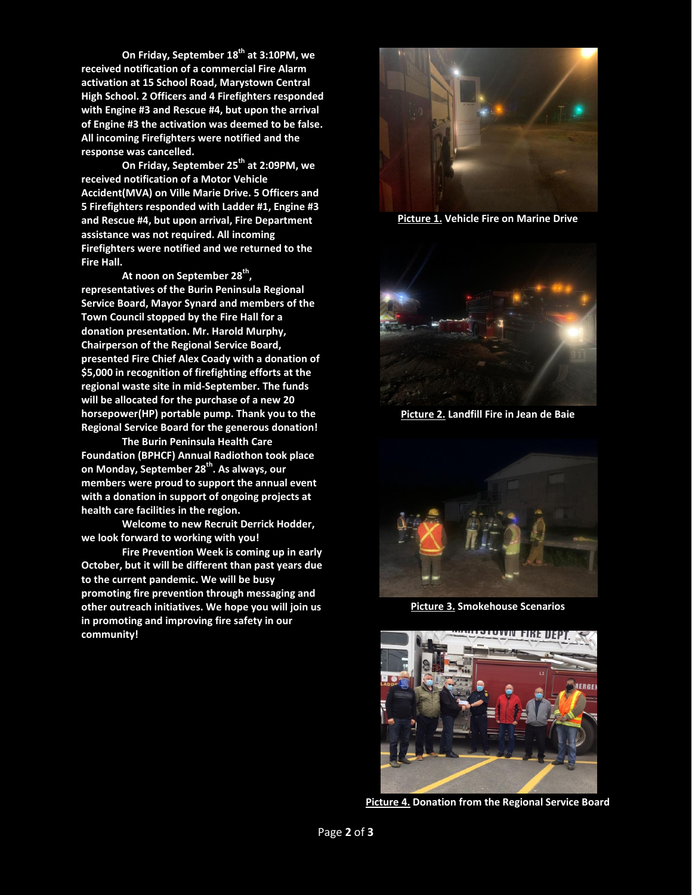**On Friday, September 18 th at 3:10PM, we received notification of a commercial Fire Alarm activation at 15 School Road, Marystown Central High School. 2 Officers and 4 Firefighters responded with Engine #3 and Rescue #4, but upon the arrival of Engine #3 the activation was deemed to be false. All incoming Firefighters were notified and the response was cancelled.**

**On Friday, September 25th at 2:09PM, we received notification of a Motor Vehicle Accident(MVA) on Ville Marie Drive. 5 Officers and 5 Firefighters responded with Ladder #1, Engine #3 and Rescue #4, but upon arrival, Fire Department assistance was not required. All incoming Firefighters were notified and we returned to the Fire Hall.** 

**At noon on September 28th , representatives of the Burin Peninsula Regional Service Board, Mayor Synard and members of the Town Council stopped by the Fire Hall for a donation presentation. Mr. Harold Murphy, Chairperson of the Regional Service Board, presented Fire Chief Alex Coady with a donation of \$5,000 in recognition of firefighting efforts at the regional waste site in mid-September. The funds will be allocated for the purchase of a new 20 horsepower(HP) portable pump. Thank you to the Regional Service Board for the generous donation! The Burin Peninsula Health Care** 

**Foundation (BPHCF) Annual Radiothon took place on Monday, September 28th. As always, our members were proud to support the annual event with a donation in support of ongoing projects at health care facilities in the region.** 

**Welcome to new Recruit Derrick Hodder, we look forward to working with you!**

**Fire Prevention Week is coming up in early October, but it will be different than past years due to the current pandemic. We will be busy promoting fire prevention through messaging and other outreach initiatives. We hope you will join us in promoting and improving fire safety in our community!**



**Picture 1. Vehicle Fire on Marine Drive**



**Picture 2. Landfill Fire in Jean de Baie**



**Picture 3. Smokehouse Scenarios**



**Picture 4. Donation from the Regional Service Board**